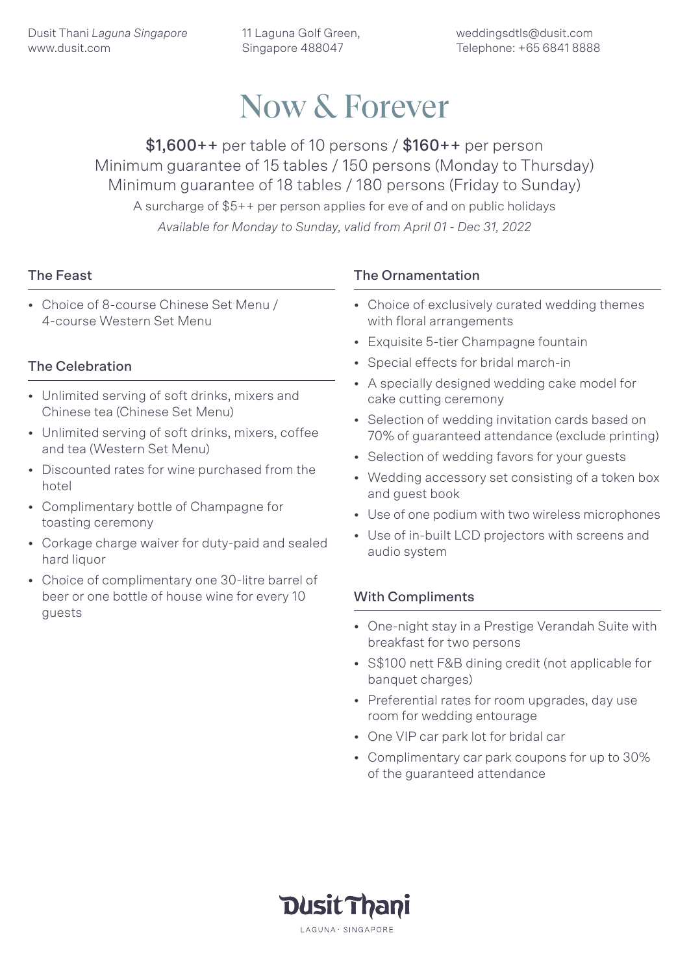11 Laguna Golf Green, Singapore 488047

weddingsdtls@dusit.com Telephone: +65 6841 8888

## Now & Forever

 $$1,600++$  per table of 10 persons /  $$160++$  per person Minimum guarantee of 15 tables / 150 persons (Monday to Thursday) Minimum guarantee of 18 tables / 180 persons (Friday to Sunday) A surcharge of \$5++ per person applies for eve of and on public holidays *Available for Monday to Sunday, valid from April 01 - Dec 31, 2022*

### The Feast

• Choice of 8-course Chinese Set Menu / 4-course Western Set Menu

## The Celebration

- Unlimited serving of soft drinks, mixers and Chinese tea (Chinese Set Menu)
- Unlimited serving of soft drinks, mixers, coffee and tea (Western Set Menu)
- Discounted rates for wine purchased from the hotel
- Complimentary bottle of Champagne for toasting ceremony
- Corkage charge waiver for duty-paid and sealed hard liquor
- Choice of complimentary one 30-litre barrel of beer or one bottle of house wine for every 10 guests

## The Ornamentation

- Choice of exclusively curated wedding themes with floral arrangements
- Exquisite 5-tier Champagne fountain
- Special effects for bridal march-in
- A specially designed wedding cake model for cake cutting ceremony
- Selection of wedding invitation cards based on 70% of guaranteed attendance (exclude printing)
- Selection of wedding favors for your guests
- Wedding accessory set consisting of a token box and guest book
- Use of one podium with two wireless microphones
- Use of in-built LCD projectors with screens and audio system

#### With Compliments

- One-night stay in a Prestige Verandah Suite with breakfast for two persons
- S\$100 nett F&B dining credit (not applicable for banquet charges)
- Preferential rates for room upgrades, day use room for wedding entourage
- One VIP car park lot for bridal car
- Complimentary car park coupons for up to 30% of the guaranteed attendance

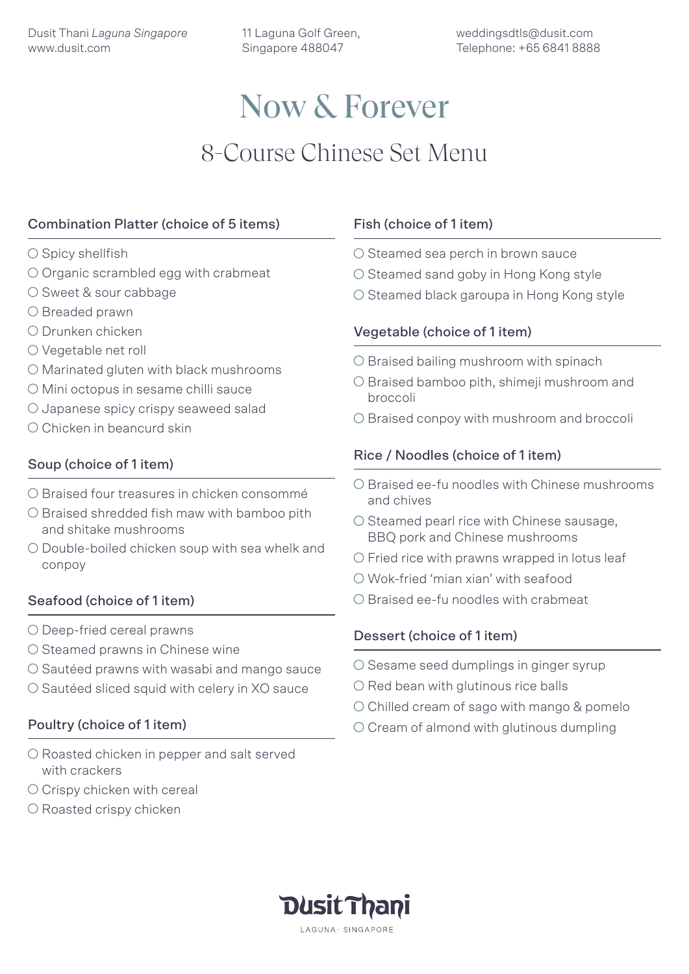11 Laguna Golf Green, Singapore 488047

# Now & Forever 8-Course Chinese Set Menu

## Combination Platter (choice of 5 items)

- $\bigcirc$  Spicy shellfish
- O Organic scrambled egg with crabmeat
- O Sweet & sour cabbage
- O Breaded prawn
- Drunken chicken
- O Vegetable net roll
- O Marinated gluten with black mushrooms
- O Mini octopus in sesame chilli sauce
- O Japanese spicy crispy seaweed salad
- O Chicken in beancurd skin

### Soup (choice of 1 item)

- O Braised four treasures in chicken consommé
- $\bigcirc$  Braised shredded fish maw with bamboo pith and shitake mushrooms
- Double-boiled chicken soup with sea whelk and conpoy

#### Seafood (choice of 1 item)

- O Deep-fried cereal prawns
- $\bigcirc$  Steamed prawns in Chinese wine
- $\circ$  Sautéed prawns with wasabi and mango sauce
- O Sautéed sliced squid with celery in XO sauce

#### Poultry (choice of 1 item)

- O Roasted chicken in pepper and salt served with crackers
- O Crispy chicken with cereal
- O Roasted crispy chicken

## Fish (choice of 1 item)

- O Steamed sea perch in brown sauce
- O Steamed sand goby in Hong Kong style
- O Steamed black garoupa in Hong Kong style

### Vegetable (choice of 1 item)

- O Braised bailing mushroom with spinach
- O Braised bamboo pith, shimeji mushroom and broccoli
- O Braised conpoy with mushroom and broccoli

## Rice / Noodles (choice of 1 item)

- $\bigcirc$  Braised ee-fu noodles with Chinese mushrooms and chives
- $\circ$  Steamed pearl rice with Chinese sausage, BBQ pork and Chinese mushrooms
- $\circlearrowright$  Fried rice with prawns wrapped in lotus leaf
- Wok-fried 'mian xian' with seafood
- $\bigcirc$  Braised ee-fu noodles with crabmeat

#### Dessert (choice of 1 item)

- $\circ$  Sesame seed dumplings in ginger syrup
- $\bigcirc$  Red bean with glutinous rice balls
- O Chilled cream of sago with mango & pomelo
- $\circ$  Cream of almond with glutinous dumpling